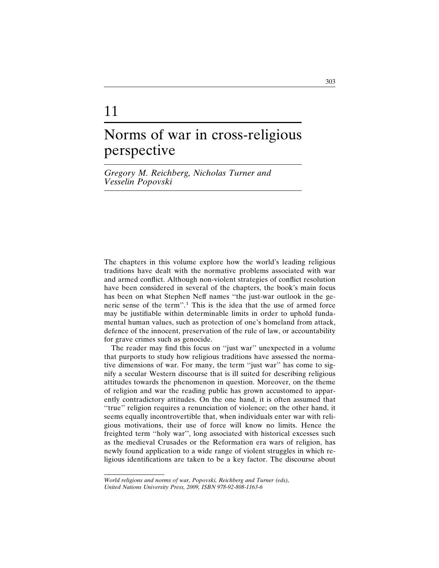# Norms of war in cross-religious perspective

11

Gregory M. Reichberg, Nicholas Turner and Vesselin Popovski

The chapters in this volume explore how the world's leading religious traditions have dealt with the normative problems associated with war and armed conflict. Although non-violent strategies of conflict resolution have been considered in several of the chapters, the book's main focus has been on what Stephen Neff names ''the just-war outlook in the generic sense of the term''.1 This is the idea that the use of armed force may be justifiable within determinable limits in order to uphold fundamental human values, such as protection of one's homeland from attack, defence of the innocent, preservation of the rule of law, or accountability for grave crimes such as genocide.

The reader may find this focus on ''just war'' unexpected in a volume that purports to study how religious traditions have assessed the normative dimensions of war. For many, the term ''just war'' has come to signify a secular Western discourse that is ill suited for describing religious attitudes towards the phenomenon in question. Moreover, on the theme of religion and war the reading public has grown accustomed to apparently contradictory attitudes. On the one hand, it is often assumed that ''true'' religion requires a renunciation of violence; on the other hand, it seems equally incontrovertible that, when individuals enter war with religious motivations, their use of force will know no limits. Hence the freighted term ''holy war'', long associated with historical excesses such as the medieval Crusades or the Reformation era wars of religion, has newly found application to a wide range of violent struggles in which religious identifications are taken to be a key factor. The discourse about

World religions and norms of war, Popovski, Reichberg and Turner (eds), United Nations University Press, 2009, ISBN 978-92-808-1163-6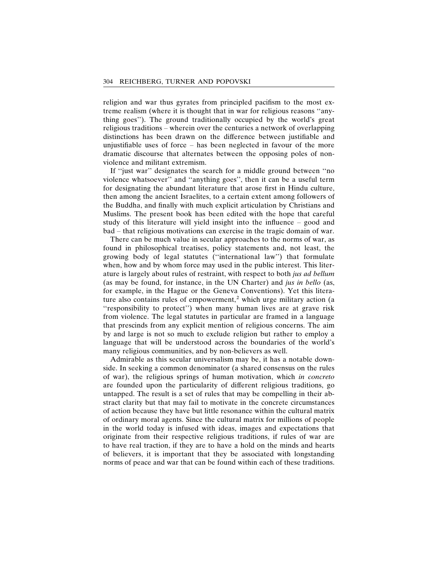religion and war thus gyrates from principled pacifism to the most extreme realism (where it is thought that in war for religious reasons ''anything goes''). The ground traditionally occupied by the world's great religious traditions – wherein over the centuries a network of overlapping distinctions has been drawn on the difference between justifiable and unjustifiable uses of force – has been neglected in favour of the more dramatic discourse that alternates between the opposing poles of nonviolence and militant extremism.

If ''just war'' designates the search for a middle ground between ''no violence whatsoever'' and ''anything goes'', then it can be a useful term for designating the abundant literature that arose first in Hindu culture, then among the ancient Israelites, to a certain extent among followers of the Buddha, and finally with much explicit articulation by Christians and Muslims. The present book has been edited with the hope that careful study of this literature will yield insight into the influence – good and bad – that religious motivations can exercise in the tragic domain of war.

There can be much value in secular approaches to the norms of war, as found in philosophical treatises, policy statements and, not least, the growing body of legal statutes (''international law'') that formulate when, how and by whom force may used in the public interest. This literature is largely about rules of restraint, with respect to both jus ad bellum (as may be found, for instance, in the UN Charter) and jus in bello (as, for example, in the Hague or the Geneva Conventions). Yet this literature also contains rules of empowerment,<sup>2</sup> which urge military action (a ''responsibility to protect'') when many human lives are at grave risk from violence. The legal statutes in particular are framed in a language that prescinds from any explicit mention of religious concerns. The aim by and large is not so much to exclude religion but rather to employ a language that will be understood across the boundaries of the world's many religious communities, and by non-believers as well.

Admirable as this secular universalism may be, it has a notable downside. In seeking a common denominator (a shared consensus on the rules of war), the religious springs of human motivation, which in concreto are founded upon the particularity of different religious traditions, go untapped. The result is a set of rules that may be compelling in their abstract clarity but that may fail to motivate in the concrete circumstances of action because they have but little resonance within the cultural matrix of ordinary moral agents. Since the cultural matrix for millions of people in the world today is infused with ideas, images and expectations that originate from their respective religious traditions, if rules of war are to have real traction, if they are to have a hold on the minds and hearts of believers, it is important that they be associated with longstanding norms of peace and war that can be found within each of these traditions.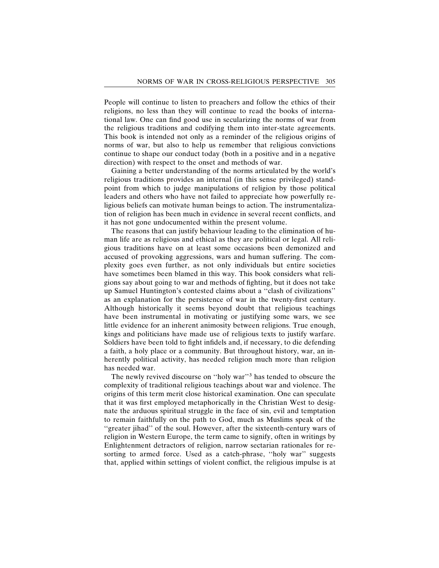People will continue to listen to preachers and follow the ethics of their religions, no less than they will continue to read the books of international law. One can find good use in secularizing the norms of war from the religious traditions and codifying them into inter-state agreements. This book is intended not only as a reminder of the religious origins of norms of war, but also to help us remember that religious convictions continue to shape our conduct today (both in a positive and in a negative direction) with respect to the onset and methods of war.

Gaining a better understanding of the norms articulated by the world's religious traditions provides an internal (in this sense privileged) standpoint from which to judge manipulations of religion by those political leaders and others who have not failed to appreciate how powerfully religious beliefs can motivate human beings to action. The instrumentalization of religion has been much in evidence in several recent conflicts, and it has not gone undocumented within the present volume.

The reasons that can justify behaviour leading to the elimination of human life are as religious and ethical as they are political or legal. All religious traditions have on at least some occasions been demonized and accused of provoking aggressions, wars and human suffering. The complexity goes even further, as not only individuals but entire societies have sometimes been blamed in this way. This book considers what religions say about going to war and methods of fighting, but it does not take up Samuel Huntington's contested claims about a ''clash of civilizations'' as an explanation for the persistence of war in the twenty-first century. Although historically it seems beyond doubt that religious teachings have been instrumental in motivating or justifying some wars, we see little evidence for an inherent animosity between religions. True enough, kings and politicians have made use of religious texts to justify warfare. Soldiers have been told to fight infidels and, if necessary, to die defending a faith, a holy place or a community. But throughout history, war, an inherently political activity, has needed religion much more than religion has needed war.

The newly revived discourse on "holy war"<sup>3</sup> has tended to obscure the complexity of traditional religious teachings about war and violence. The origins of this term merit close historical examination. One can speculate that it was first employed metaphorically in the Christian West to designate the arduous spiritual struggle in the face of sin, evil and temptation to remain faithfully on the path to God, much as Muslims speak of the "greater jihad" of the soul. However, after the sixteenth-century wars of religion in Western Europe, the term came to signify, often in writings by Enlightenment detractors of religion, narrow sectarian rationales for resorting to armed force. Used as a catch-phrase, "holy war" suggests that, applied within settings of violent conflict, the religious impulse is at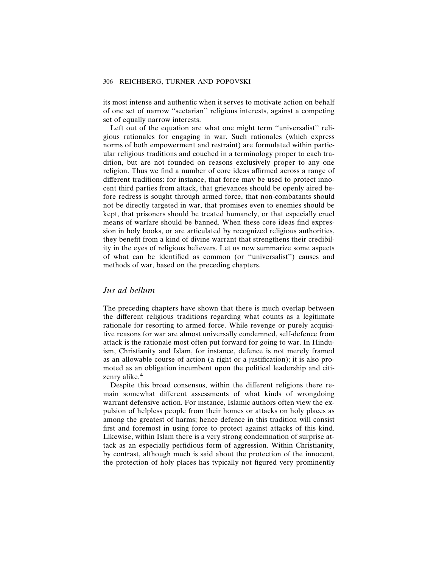its most intense and authentic when it serves to motivate action on behalf of one set of narrow ''sectarian'' religious interests, against a competing set of equally narrow interests.

Left out of the equation are what one might term "universalist" religious rationales for engaging in war. Such rationales (which express norms of both empowerment and restraint) are formulated within particular religious traditions and couched in a terminology proper to each tradition, but are not founded on reasons exclusively proper to any one religion. Thus we find a number of core ideas affirmed across a range of different traditions: for instance, that force may be used to protect innocent third parties from attack, that grievances should be openly aired before redress is sought through armed force, that non-combatants should not be directly targeted in war, that promises even to enemies should be kept, that prisoners should be treated humanely, or that especially cruel means of warfare should be banned. When these core ideas find expression in holy books, or are articulated by recognized religious authorities, they benefit from a kind of divine warrant that strengthens their credibility in the eyes of religious believers. Let us now summarize some aspects of what can be identified as common (or ''universalist'') causes and methods of war, based on the preceding chapters.

## Jus ad bellum

The preceding chapters have shown that there is much overlap between the different religious traditions regarding what counts as a legitimate rationale for resorting to armed force. While revenge or purely acquisitive reasons for war are almost universally condemned, self-defence from attack is the rationale most often put forward for going to war. In Hinduism, Christianity and Islam, for instance, defence is not merely framed as an allowable course of action (a right or a justification); it is also promoted as an obligation incumbent upon the political leadership and citizenry alike.<sup>4</sup>

Despite this broad consensus, within the different religions there remain somewhat different assessments of what kinds of wrongdoing warrant defensive action. For instance, Islamic authors often view the expulsion of helpless people from their homes or attacks on holy places as among the greatest of harms; hence defence in this tradition will consist first and foremost in using force to protect against attacks of this kind. Likewise, within Islam there is a very strong condemnation of surprise attack as an especially perfidious form of aggression. Within Christianity, by contrast, although much is said about the protection of the innocent, the protection of holy places has typically not figured very prominently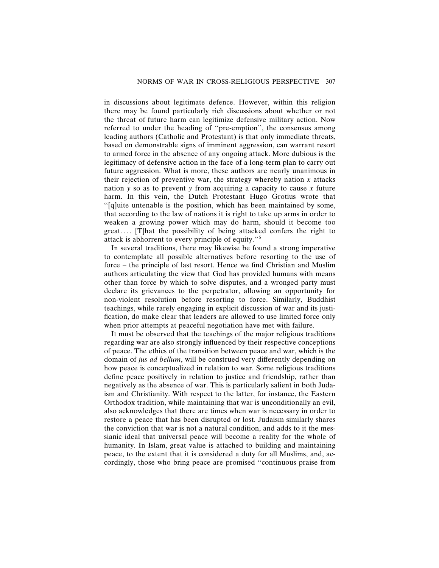in discussions about legitimate defence. However, within this religion there may be found particularly rich discussions about whether or not the threat of future harm can legitimize defensive military action. Now referred to under the heading of ''pre-emption'', the consensus among leading authors (Catholic and Protestant) is that only immediate threats, based on demonstrable signs of imminent aggression, can warrant resort to armed force in the absence of any ongoing attack. More dubious is the legitimacy of defensive action in the face of a long-term plan to carry out future aggression. What is more, these authors are nearly unanimous in their rejection of preventive war, the strategy whereby nation  $x$  attacks nation  $y$  so as to prevent  $y$  from acquiring a capacity to cause  $x$  future harm. In this vein, the Dutch Protestant Hugo Grotius wrote that ''[q]uite untenable is the position, which has been maintained by some, that according to the law of nations it is right to take up arms in order to weaken a growing power which may do harm, should it become too  $\alpha$  great.... [T] hat the possibility of being attacked confers the right to attack is abhorrent to every principle of equity.''5

In several traditions, there may likewise be found a strong imperative to contemplate all possible alternatives before resorting to the use of force – the principle of last resort. Hence we find Christian and Muslim authors articulating the view that God has provided humans with means other than force by which to solve disputes, and a wronged party must declare its grievances to the perpetrator, allowing an opportunity for non-violent resolution before resorting to force. Similarly, Buddhist teachings, while rarely engaging in explicit discussion of war and its justification, do make clear that leaders are allowed to use limited force only when prior attempts at peaceful negotiation have met with failure.

It must be observed that the teachings of the major religious traditions regarding war are also strongly influenced by their respective conceptions of peace. The ethics of the transition between peace and war, which is the domain of jus ad bellum, will be construed very differently depending on how peace is conceptualized in relation to war. Some religious traditions define peace positively in relation to justice and friendship, rather than negatively as the absence of war. This is particularly salient in both Judaism and Christianity. With respect to the latter, for instance, the Eastern Orthodox tradition, while maintaining that war is unconditionally an evil, also acknowledges that there are times when war is necessary in order to restore a peace that has been disrupted or lost. Judaism similarly shares the conviction that war is not a natural condition, and adds to it the messianic ideal that universal peace will become a reality for the whole of humanity. In Islam, great value is attached to building and maintaining peace, to the extent that it is considered a duty for all Muslims, and, accordingly, those who bring peace are promised ''continuous praise from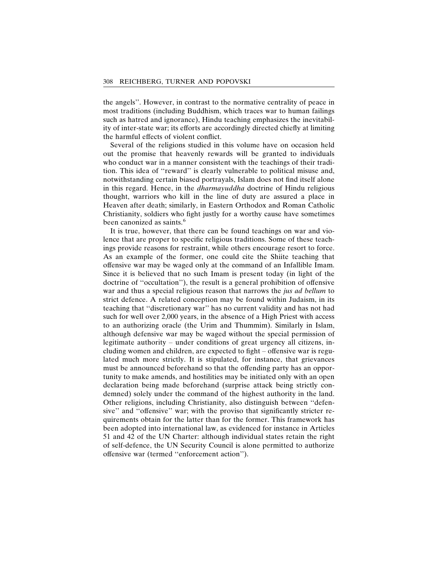the angels''. However, in contrast to the normative centrality of peace in most traditions (including Buddhism, which traces war to human failings such as hatred and ignorance), Hindu teaching emphasizes the inevitability of inter-state war; its efforts are accordingly directed chiefly at limiting the harmful effects of violent conflict.

Several of the religions studied in this volume have on occasion held out the promise that heavenly rewards will be granted to individuals who conduct war in a manner consistent with the teachings of their tradition. This idea of ''reward'' is clearly vulnerable to political misuse and, notwithstanding certain biased portrayals, Islam does not find itself alone in this regard. Hence, in the dharmayuddha doctrine of Hindu religious thought, warriors who kill in the line of duty are assured a place in Heaven after death; similarly, in Eastern Orthodox and Roman Catholic Christianity, soldiers who fight justly for a worthy cause have sometimes been canonized as saints.<sup>6</sup>

It is true, however, that there can be found teachings on war and violence that are proper to specific religious traditions. Some of these teachings provide reasons for restraint, while others encourage resort to force. As an example of the former, one could cite the Shiite teaching that offensive war may be waged only at the command of an Infallible Imam. Since it is believed that no such Imam is present today (in light of the doctrine of ''occultation''), the result is a general prohibition of offensive war and thus a special religious reason that narrows the *jus ad bellum* to strict defence. A related conception may be found within Judaism, in its teaching that ''discretionary war'' has no current validity and has not had such for well over 2,000 years, in the absence of a High Priest with access to an authorizing oracle (the Urim and Thummim). Similarly in Islam, although defensive war may be waged without the special permission of legitimate authority – under conditions of great urgency all citizens, including women and children, are expected to fight – offensive war is regulated much more strictly. It is stipulated, for instance, that grievances must be announced beforehand so that the offending party has an opportunity to make amends, and hostilities may be initiated only with an open declaration being made beforehand (surprise attack being strictly condemned) solely under the command of the highest authority in the land. Other religions, including Christianity, also distinguish between ''defensive'' and ''offensive'' war; with the proviso that significantly stricter requirements obtain for the latter than for the former. This framework has been adopted into international law, as evidenced for instance in Articles 51 and 42 of the UN Charter: although individual states retain the right of self-defence, the UN Security Council is alone permitted to authorize offensive war (termed ''enforcement action'').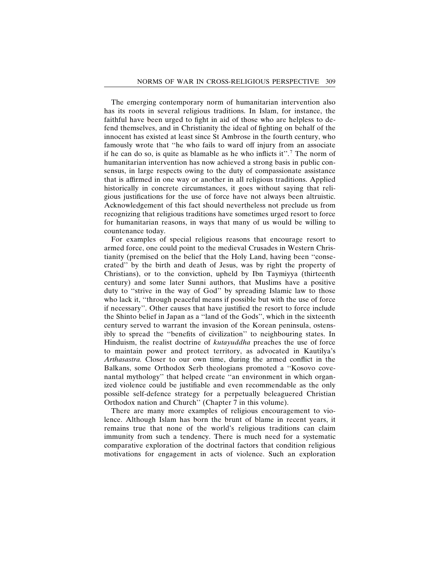The emerging contemporary norm of humanitarian intervention also has its roots in several religious traditions. In Islam, for instance, the faithful have been urged to fight in aid of those who are helpless to defend themselves, and in Christianity the ideal of fighting on behalf of the innocent has existed at least since St Ambrose in the fourth century, who famously wrote that ''he who fails to ward off injury from an associate if he can do so, is quite as blamable as he who inflicts it".<sup>7</sup> The norm of humanitarian intervention has now achieved a strong basis in public consensus, in large respects owing to the duty of compassionate assistance that is affirmed in one way or another in all religious traditions. Applied historically in concrete circumstances, it goes without saying that religious justifications for the use of force have not always been altruistic. Acknowledgement of this fact should nevertheless not preclude us from recognizing that religious traditions have sometimes urged resort to force for humanitarian reasons, in ways that many of us would be willing to countenance today.

For examples of special religious reasons that encourage resort to armed force, one could point to the medieval Crusades in Western Christianity (premised on the belief that the Holy Land, having been ''consecrated'' by the birth and death of Jesus, was by right the property of Christians), or to the conviction, upheld by Ibn Taymiyya (thirteenth century) and some later Sunni authors, that Muslims have a positive duty to ''strive in the way of God'' by spreading Islamic law to those who lack it, ''through peaceful means if possible but with the use of force if necessary''. Other causes that have justified the resort to force include the Shinto belief in Japan as a ''land of the Gods'', which in the sixteenth century served to warrant the invasion of the Korean peninsula, ostensibly to spread the ''benefits of civilization'' to neighbouring states. In Hinduism, the realist doctrine of kutayuddha preaches the use of force to maintain power and protect territory, as advocated in Kautilya's Arthasastra. Closer to our own time, during the armed conflict in the Balkans, some Orthodox Serb theologians promoted a ''Kosovo covenantal mythology'' that helped create ''an environment in which organized violence could be justifiable and even recommendable as the only possible self-defence strategy for a perpetually beleaguered Christian Orthodox nation and Church'' (Chapter 7 in this volume).

There are many more examples of religious encouragement to violence. Although Islam has born the brunt of blame in recent years, it remains true that none of the world's religious traditions can claim immunity from such a tendency. There is much need for a systematic comparative exploration of the doctrinal factors that condition religious motivations for engagement in acts of violence. Such an exploration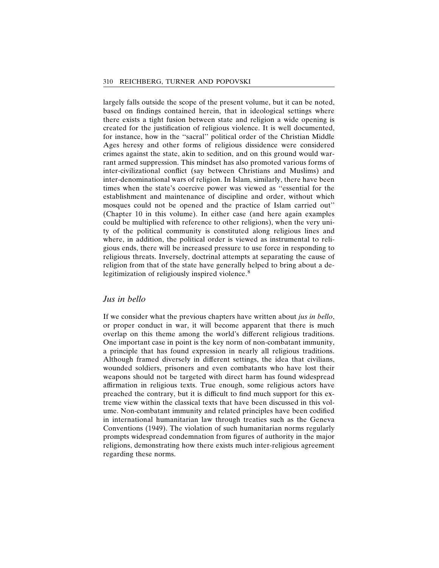largely falls outside the scope of the present volume, but it can be noted, based on findings contained herein, that in ideological settings where there exists a tight fusion between state and religion a wide opening is created for the justification of religious violence. It is well documented, for instance, how in the ''sacral'' political order of the Christian Middle Ages heresy and other forms of religious dissidence were considered crimes against the state, akin to sedition, and on this ground would warrant armed suppression. This mindset has also promoted various forms of inter-civilizational conflict (say between Christians and Muslims) and inter-denominational wars of religion. In Islam, similarly, there have been times when the state's coercive power was viewed as ''essential for the establishment and maintenance of discipline and order, without which mosques could not be opened and the practice of Islam carried out'' (Chapter 10 in this volume). In either case (and here again examples could be multiplied with reference to other religions), when the very unity of the political community is constituted along religious lines and where, in addition, the political order is viewed as instrumental to religious ends, there will be increased pressure to use force in responding to religious threats. Inversely, doctrinal attempts at separating the cause of religion from that of the state have generally helped to bring about a delegitimization of religiously inspired violence.<sup>8</sup>

#### Jus in bello

If we consider what the previous chapters have written about *jus in bello*, or proper conduct in war, it will become apparent that there is much overlap on this theme among the world's different religious traditions. One important case in point is the key norm of non-combatant immunity, a principle that has found expression in nearly all religious traditions. Although framed diversely in different settings, the idea that civilians, wounded soldiers, prisoners and even combatants who have lost their weapons should not be targeted with direct harm has found widespread affirmation in religious texts. True enough, some religious actors have preached the contrary, but it is difficult to find much support for this extreme view within the classical texts that have been discussed in this volume. Non-combatant immunity and related principles have been codified in international humanitarian law through treaties such as the Geneva Conventions (1949). The violation of such humanitarian norms regularly prompts widespread condemnation from figures of authority in the major religions, demonstrating how there exists much inter-religious agreement regarding these norms.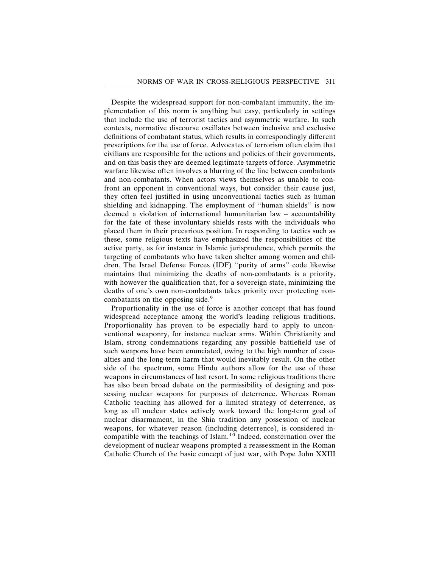Despite the widespread support for non-combatant immunity, the implementation of this norm is anything but easy, particularly in settings that include the use of terrorist tactics and asymmetric warfare. In such contexts, normative discourse oscillates between inclusive and exclusive definitions of combatant status, which results in correspondingly different prescriptions for the use of force. Advocates of terrorism often claim that civilians are responsible for the actions and policies of their governments, and on this basis they are deemed legitimate targets of force. Asymmetric warfare likewise often involves a blurring of the line between combatants and non-combatants. When actors views themselves as unable to confront an opponent in conventional ways, but consider their cause just, they often feel justified in using unconventional tactics such as human shielding and kidnapping. The employment of ''human shields'' is now deemed a violation of international humanitarian law – accountability for the fate of these involuntary shields rests with the individuals who placed them in their precarious position. In responding to tactics such as these, some religious texts have emphasized the responsibilities of the active party, as for instance in Islamic jurisprudence, which permits the targeting of combatants who have taken shelter among women and children. The Israel Defense Forces (IDF) ''purity of arms'' code likewise maintains that minimizing the deaths of non-combatants is a priority, with however the qualification that, for a sovereign state, minimizing the deaths of one's own non-combatants takes priority over protecting noncombatants on the opposing side.<sup>9</sup>

Proportionality in the use of force is another concept that has found widespread acceptance among the world's leading religious traditions. Proportionality has proven to be especially hard to apply to unconventional weaponry, for instance nuclear arms. Within Christianity and Islam, strong condemnations regarding any possible battlefield use of such weapons have been enunciated, owing to the high number of casualties and the long-term harm that would inevitably result. On the other side of the spectrum, some Hindu authors allow for the use of these weapons in circumstances of last resort. In some religious traditions there has also been broad debate on the permissibility of designing and possessing nuclear weapons for purposes of deterrence. Whereas Roman Catholic teaching has allowed for a limited strategy of deterrence, as long as all nuclear states actively work toward the long-term goal of nuclear disarmament, in the Shia tradition any possession of nuclear weapons, for whatever reason (including deterrence), is considered incompatible with the teachings of Islam.<sup>10</sup> Indeed, consternation over the development of nuclear weapons prompted a reassessment in the Roman Catholic Church of the basic concept of just war, with Pope John XXIII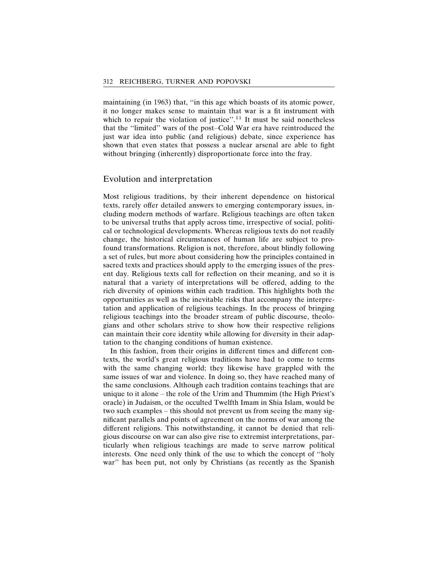maintaining (in 1963) that, ''in this age which boasts of its atomic power, it no longer makes sense to maintain that war is a fit instrument with which to repair the violation of justice".<sup>11</sup> It must be said nonetheless that the ''limited'' wars of the post–Cold War era have reintroduced the just war idea into public (and religious) debate, since experience has shown that even states that possess a nuclear arsenal are able to fight without bringing (inherently) disproportionate force into the fray.

### Evolution and interpretation

Most religious traditions, by their inherent dependence on historical texts, rarely offer detailed answers to emerging contemporary issues, including modern methods of warfare. Religious teachings are often taken to be universal truths that apply across time, irrespective of social, political or technological developments. Whereas religious texts do not readily change, the historical circumstances of human life are subject to profound transformations. Religion is not, therefore, about blindly following a set of rules, but more about considering how the principles contained in sacred texts and practices should apply to the emerging issues of the present day. Religious texts call for reflection on their meaning, and so it is natural that a variety of interpretations will be offered, adding to the rich diversity of opinions within each tradition. This highlights both the opportunities as well as the inevitable risks that accompany the interpretation and application of religious teachings. In the process of bringing religious teachings into the broader stream of public discourse, theologians and other scholars strive to show how their respective religions can maintain their core identity while allowing for diversity in their adaptation to the changing conditions of human existence.

In this fashion, from their origins in different times and different contexts, the world's great religious traditions have had to come to terms with the same changing world; they likewise have grappled with the same issues of war and violence. In doing so, they have reached many of the same conclusions. Although each tradition contains teachings that are unique to it alone – the role of the Urim and Thummim (the High Priest's oracle) in Judaism, or the occulted Twelfth Imam in Shia Islam, would be two such examples – this should not prevent us from seeing the many significant parallels and points of agreement on the norms of war among the different religions. This notwithstanding, it cannot be denied that religious discourse on war can also give rise to extremist interpretations, particularly when religious teachings are made to serve narrow political interests. One need only think of the use to which the concept of ''holy war'' has been put, not only by Christians (as recently as the Spanish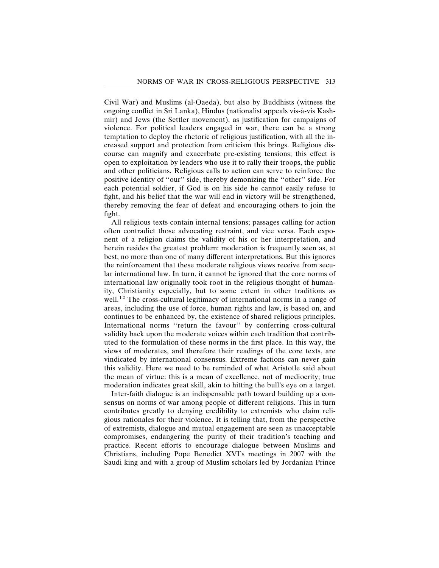Civil War) and Muslims (al-Qaeda), but also by Buddhists (witness the ongoing conflict in Sri Lanka), Hindus (nationalist appeals vis-a`-vis Kashmir) and Jews (the Settler movement), as justification for campaigns of violence. For political leaders engaged in war, there can be a strong temptation to deploy the rhetoric of religious justification, with all the increased support and protection from criticism this brings. Religious discourse can magnify and exacerbate pre-existing tensions; this effect is open to exploitation by leaders who use it to rally their troops, the public and other politicians. Religious calls to action can serve to reinforce the positive identity of ''our'' side, thereby demonizing the ''other'' side. For each potential soldier, if God is on his side he cannot easily refuse to fight, and his belief that the war will end in victory will be strengthened, thereby removing the fear of defeat and encouraging others to join the fight.

All religious texts contain internal tensions; passages calling for action often contradict those advocating restraint, and vice versa. Each exponent of a religion claims the validity of his or her interpretation, and herein resides the greatest problem: moderation is frequently seen as, at best, no more than one of many different interpretations. But this ignores the reinforcement that these moderate religious views receive from secular international law. In turn, it cannot be ignored that the core norms of international law originally took root in the religious thought of humanity, Christianity especially, but to some extent in other traditions as well.<sup>12</sup> The cross-cultural legitimacy of international norms in a range of areas, including the use of force, human rights and law, is based on, and continues to be enhanced by, the existence of shared religious principles. International norms ''return the favour'' by conferring cross-cultural validity back upon the moderate voices within each tradition that contributed to the formulation of these norms in the first place. In this way, the views of moderates, and therefore their readings of the core texts, are vindicated by international consensus. Extreme factions can never gain this validity. Here we need to be reminded of what Aristotle said about the mean of virtue: this is a mean of excellence, not of mediocrity; true moderation indicates great skill, akin to hitting the bull's eye on a target.

Inter-faith dialogue is an indispensable path toward building up a consensus on norms of war among people of different religions. This in turn contributes greatly to denying credibility to extremists who claim religious rationales for their violence. It is telling that, from the perspective of extremists, dialogue and mutual engagement are seen as unacceptable compromises, endangering the purity of their tradition's teaching and practice. Recent efforts to encourage dialogue between Muslims and Christians, including Pope Benedict XVI's meetings in 2007 with the Saudi king and with a group of Muslim scholars led by Jordanian Prince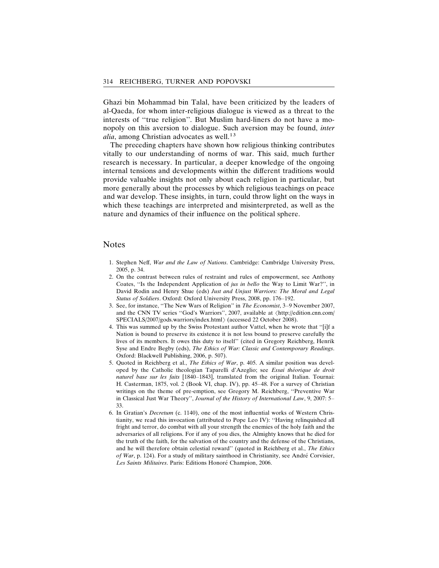Ghazi bin Mohammad bin Talal, have been criticized by the leaders of al-Qaeda, for whom inter-religious dialogue is viewed as a threat to the interests of ''true religion''. But Muslim hard-liners do not have a monopoly on this aversion to dialogue. Such aversion may be found, inter  $alia$ , among Christian advocates as well.<sup>13</sup>

The preceding chapters have shown how religious thinking contributes vitally to our understanding of norms of war. This said, much further research is necessary. In particular, a deeper knowledge of the ongoing internal tensions and developments within the different traditions would provide valuable insights not only about each religion in particular, but more generally about the processes by which religious teachings on peace and war develop. These insights, in turn, could throw light on the ways in which these teachings are interpreted and misinterpreted, as well as the nature and dynamics of their influence on the political sphere.

## **Notes**

- 1. Stephen Neff, War and the Law of Nations. Cambridge: Cambridge University Press, 2005, p. 34.
- 2. On the contrast between rules of restraint and rules of empowerment, see Anthony Coates, ''Is the Independent Application of jus in bello the Way to Limit War?'', in David Rodin and Henry Shue (eds) Just and Unjust Warriors: The Moral and Legal Status of Soldiers. Oxford: Oxford University Press, 2008, pp. 176–192.
- 3. See, for instance, ''The New Wars of Religion'' in The Economist, 3–9 November 2007, and the CNN TV series "God's Warriors", 2007, available at  $\langle$ http://edition.cnn.com/ SPECIALS/2007/gods.warriors/index.html> (accessed 22 October 2008).
- 4. This was summed up by the Swiss Protestant author Vattel, when he wrote that ''[i]f a Nation is bound to preserve its existence it is not less bound to preserve carefully the lives of its members. It owes this duty to itself'' (cited in Gregory Reichberg, Henrik Syse and Endre Begby (eds), The Ethics of War: Classic and Contemporary Readings. Oxford: Blackwell Publishing, 2006, p. 507).
- 5. Quoted in Reichberg et al., The Ethics of War, p. 405. A similar position was developed by the Catholic theologian Taparelli d'Azeglio; see Essai théorique de droit naturel base sur les faits [1840–1843], translated from the original Italian. Tournai: H. Casterman, 1875, vol. 2 (Book VI, chap. IV), pp. 45–48. For a survey of Christian writings on the theme of pre-emption, see Gregory M. Reichberg, ''Preventive War in Classical Just War Theory'', Journal of the History of International Law, 9, 2007: 5– 33.
- 6. In Gratian's Decretum (c. 1140), one of the most influential works of Western Christianity, we read this invocation (attributed to Pope Leo IV): ''Having relinquished all fright and terror, do combat with all your strength the enemies of the holy faith and the adversaries of all religions. For if any of you dies, the Almighty knows that he died for the truth of the faith, for the salvation of the country and the defense of the Christians, and he will therefore obtain celestial reward'' (quoted in Reichberg et al., The Ethics of War, p. 124). For a study of military sainthood in Christianity, see André Corvisier, Les Saints Militaires. Paris: Editions Honoré Champion, 2006.